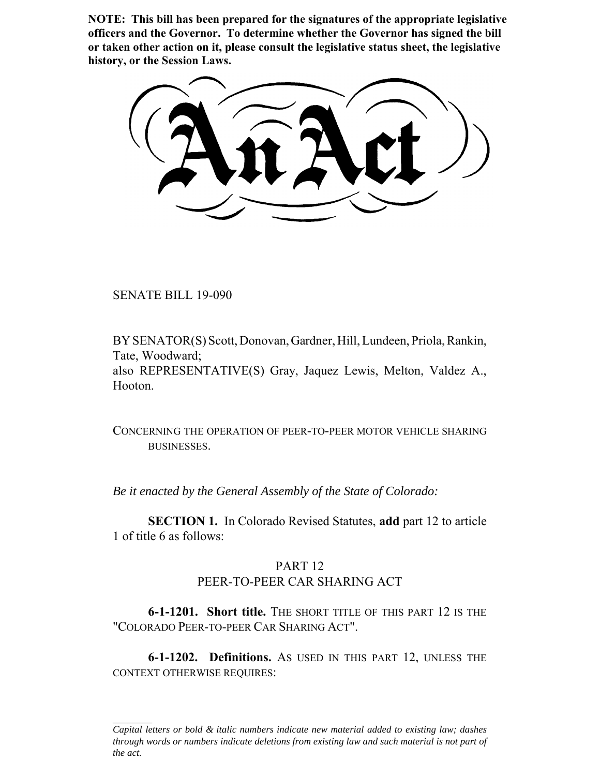**NOTE: This bill has been prepared for the signatures of the appropriate legislative officers and the Governor. To determine whether the Governor has signed the bill or taken other action on it, please consult the legislative status sheet, the legislative history, or the Session Laws.**

SENATE BILL 19-090

BY SENATOR(S) Scott, Donovan, Gardner, Hill, Lundeen, Priola, Rankin, Tate, Woodward; also REPRESENTATIVE(S) Gray, Jaquez Lewis, Melton, Valdez A., Hooton.

CONCERNING THE OPERATION OF PEER-TO-PEER MOTOR VEHICLE SHARING BUSINESSES.

*Be it enacted by the General Assembly of the State of Colorado:*

**SECTION 1.** In Colorado Revised Statutes, **add** part 12 to article 1 of title 6 as follows:

## PART 12 PEER-TO-PEER CAR SHARING ACT

**6-1-1201. Short title.** THE SHORT TITLE OF THIS PART 12 IS THE "COLORADO PEER-TO-PEER CAR SHARING ACT".

**6-1-1202. Definitions.** AS USED IN THIS PART 12, UNLESS THE CONTEXT OTHERWISE REQUIRES:

*Capital letters or bold & italic numbers indicate new material added to existing law; dashes through words or numbers indicate deletions from existing law and such material is not part of the act.*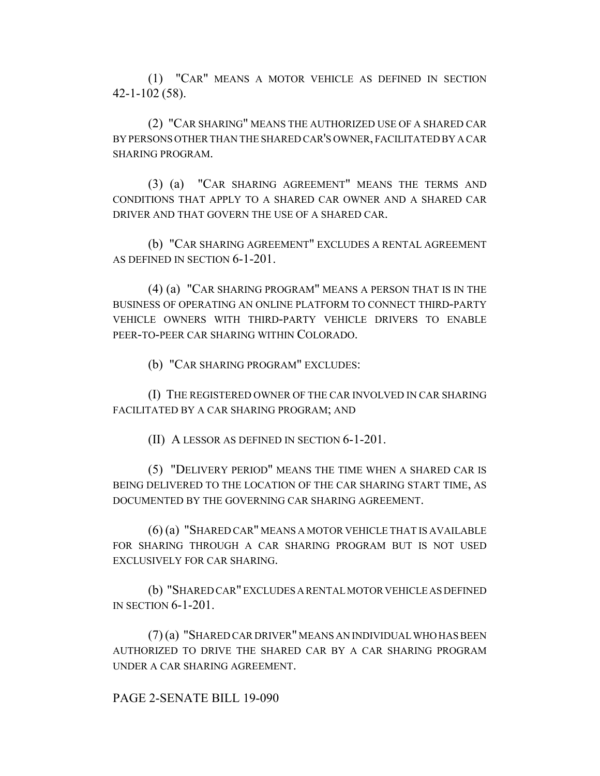(1) "CAR" MEANS A MOTOR VEHICLE AS DEFINED IN SECTION 42-1-102 (58).

(2) "CAR SHARING" MEANS THE AUTHORIZED USE OF A SHARED CAR BY PERSONS OTHER THAN THE SHARED CAR'S OWNER, FACILITATED BY A CAR SHARING PROGRAM.

(3) (a) "CAR SHARING AGREEMENT" MEANS THE TERMS AND CONDITIONS THAT APPLY TO A SHARED CAR OWNER AND A SHARED CAR DRIVER AND THAT GOVERN THE USE OF A SHARED CAR.

(b) "CAR SHARING AGREEMENT" EXCLUDES A RENTAL AGREEMENT AS DEFINED IN SECTION 6-1-201.

(4) (a) "CAR SHARING PROGRAM" MEANS A PERSON THAT IS IN THE BUSINESS OF OPERATING AN ONLINE PLATFORM TO CONNECT THIRD-PARTY VEHICLE OWNERS WITH THIRD-PARTY VEHICLE DRIVERS TO ENABLE PEER-TO-PEER CAR SHARING WITHIN COLORADO.

(b) "CAR SHARING PROGRAM" EXCLUDES:

(I) THE REGISTERED OWNER OF THE CAR INVOLVED IN CAR SHARING FACILITATED BY A CAR SHARING PROGRAM; AND

(II) A LESSOR AS DEFINED IN SECTION 6-1-201.

(5) "DELIVERY PERIOD" MEANS THE TIME WHEN A SHARED CAR IS BEING DELIVERED TO THE LOCATION OF THE CAR SHARING START TIME, AS DOCUMENTED BY THE GOVERNING CAR SHARING AGREEMENT.

(6) (a) "SHARED CAR" MEANS A MOTOR VEHICLE THAT IS AVAILABLE FOR SHARING THROUGH A CAR SHARING PROGRAM BUT IS NOT USED EXCLUSIVELY FOR CAR SHARING.

(b) "SHARED CAR" EXCLUDES A RENTAL MOTOR VEHICLE AS DEFINED IN SECTION 6-1-201.

(7) (a) "SHARED CAR DRIVER" MEANS AN INDIVIDUAL WHO HAS BEEN AUTHORIZED TO DRIVE THE SHARED CAR BY A CAR SHARING PROGRAM UNDER A CAR SHARING AGREEMENT.

PAGE 2-SENATE BILL 19-090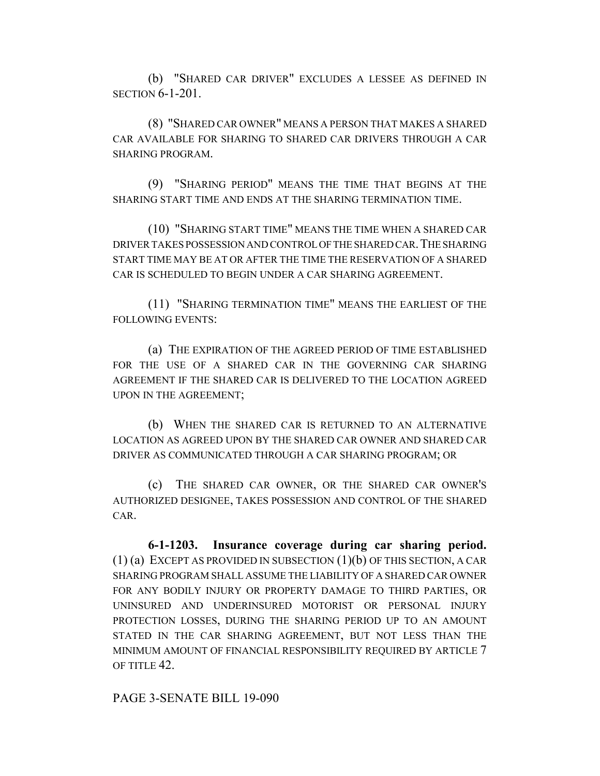(b) "SHARED CAR DRIVER" EXCLUDES A LESSEE AS DEFINED IN SECTION 6-1-201.

(8) "SHARED CAR OWNER" MEANS A PERSON THAT MAKES A SHARED CAR AVAILABLE FOR SHARING TO SHARED CAR DRIVERS THROUGH A CAR SHARING PROGRAM.

(9) "SHARING PERIOD" MEANS THE TIME THAT BEGINS AT THE SHARING START TIME AND ENDS AT THE SHARING TERMINATION TIME.

(10) "SHARING START TIME" MEANS THE TIME WHEN A SHARED CAR DRIVER TAKES POSSESSION AND CONTROL OF THE SHARED CAR.THE SHARING START TIME MAY BE AT OR AFTER THE TIME THE RESERVATION OF A SHARED CAR IS SCHEDULED TO BEGIN UNDER A CAR SHARING AGREEMENT.

(11) "SHARING TERMINATION TIME" MEANS THE EARLIEST OF THE FOLLOWING EVENTS:

(a) THE EXPIRATION OF THE AGREED PERIOD OF TIME ESTABLISHED FOR THE USE OF A SHARED CAR IN THE GOVERNING CAR SHARING AGREEMENT IF THE SHARED CAR IS DELIVERED TO THE LOCATION AGREED UPON IN THE AGREEMENT;

(b) WHEN THE SHARED CAR IS RETURNED TO AN ALTERNATIVE LOCATION AS AGREED UPON BY THE SHARED CAR OWNER AND SHARED CAR DRIVER AS COMMUNICATED THROUGH A CAR SHARING PROGRAM; OR

(c) THE SHARED CAR OWNER, OR THE SHARED CAR OWNER'S AUTHORIZED DESIGNEE, TAKES POSSESSION AND CONTROL OF THE SHARED CAR.

**6-1-1203. Insurance coverage during car sharing period.** (1) (a) EXCEPT AS PROVIDED IN SUBSECTION (1)(b) OF THIS SECTION, A CAR SHARING PROGRAM SHALL ASSUME THE LIABILITY OF A SHARED CAR OWNER FOR ANY BODILY INJURY OR PROPERTY DAMAGE TO THIRD PARTIES, OR UNINSURED AND UNDERINSURED MOTORIST OR PERSONAL INJURY PROTECTION LOSSES, DURING THE SHARING PERIOD UP TO AN AMOUNT STATED IN THE CAR SHARING AGREEMENT, BUT NOT LESS THAN THE MINIMUM AMOUNT OF FINANCIAL RESPONSIBILITY REQUIRED BY ARTICLE 7 OF TITLE 42.

PAGE 3-SENATE BILL 19-090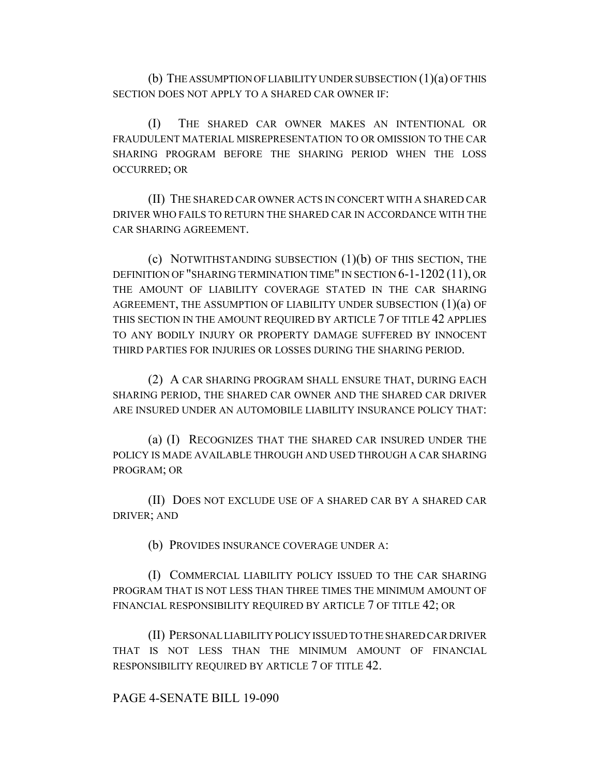(b) THE ASSUMPTION OF LIABILITY UNDER SUBSECTION (1)(a) OF THIS SECTION DOES NOT APPLY TO A SHARED CAR OWNER IF:

(I) THE SHARED CAR OWNER MAKES AN INTENTIONAL OR FRAUDULENT MATERIAL MISREPRESENTATION TO OR OMISSION TO THE CAR SHARING PROGRAM BEFORE THE SHARING PERIOD WHEN THE LOSS OCCURRED; OR

(II) THE SHARED CAR OWNER ACTS IN CONCERT WITH A SHARED CAR DRIVER WHO FAILS TO RETURN THE SHARED CAR IN ACCORDANCE WITH THE CAR SHARING AGREEMENT.

(c) NOTWITHSTANDING SUBSECTION (1)(b) OF THIS SECTION, THE DEFINITION OF "SHARING TERMINATION TIME" IN SECTION 6-1-1202 (11), OR THE AMOUNT OF LIABILITY COVERAGE STATED IN THE CAR SHARING AGREEMENT, THE ASSUMPTION OF LIABILITY UNDER SUBSECTION  $(1)(a)$  OF THIS SECTION IN THE AMOUNT REQUIRED BY ARTICLE 7 OF TITLE 42 APPLIES TO ANY BODILY INJURY OR PROPERTY DAMAGE SUFFERED BY INNOCENT THIRD PARTIES FOR INJURIES OR LOSSES DURING THE SHARING PERIOD.

(2) A CAR SHARING PROGRAM SHALL ENSURE THAT, DURING EACH SHARING PERIOD, THE SHARED CAR OWNER AND THE SHARED CAR DRIVER ARE INSURED UNDER AN AUTOMOBILE LIABILITY INSURANCE POLICY THAT:

(a) (I) RECOGNIZES THAT THE SHARED CAR INSURED UNDER THE POLICY IS MADE AVAILABLE THROUGH AND USED THROUGH A CAR SHARING PROGRAM; OR

(II) DOES NOT EXCLUDE USE OF A SHARED CAR BY A SHARED CAR DRIVER; AND

(b) PROVIDES INSURANCE COVERAGE UNDER A:

(I) COMMERCIAL LIABILITY POLICY ISSUED TO THE CAR SHARING PROGRAM THAT IS NOT LESS THAN THREE TIMES THE MINIMUM AMOUNT OF FINANCIAL RESPONSIBILITY REQUIRED BY ARTICLE 7 OF TITLE 42; OR

(II) PERSONAL LIABILITY POLICY ISSUED TO THE SHARED CAR DRIVER THAT IS NOT LESS THAN THE MINIMUM AMOUNT OF FINANCIAL RESPONSIBILITY REQUIRED BY ARTICLE 7 OF TITLE 42.

## PAGE 4-SENATE BILL 19-090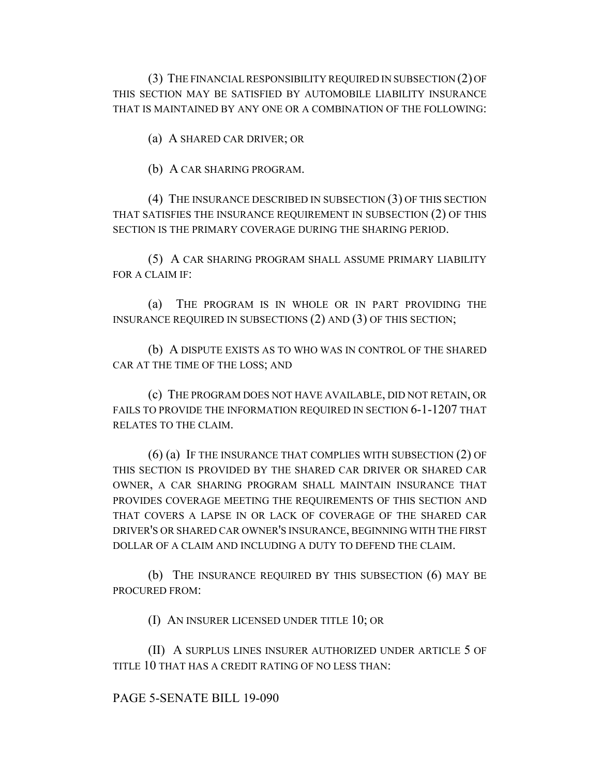(3) THE FINANCIAL RESPONSIBILITY REQUIRED IN SUBSECTION (2) OF THIS SECTION MAY BE SATISFIED BY AUTOMOBILE LIABILITY INSURANCE THAT IS MAINTAINED BY ANY ONE OR A COMBINATION OF THE FOLLOWING:

(a) A SHARED CAR DRIVER; OR

(b) A CAR SHARING PROGRAM.

(4) THE INSURANCE DESCRIBED IN SUBSECTION (3) OF THIS SECTION THAT SATISFIES THE INSURANCE REQUIREMENT IN SUBSECTION (2) OF THIS SECTION IS THE PRIMARY COVERAGE DURING THE SHARING PERIOD.

(5) A CAR SHARING PROGRAM SHALL ASSUME PRIMARY LIABILITY FOR A CLAIM IF:

(a) THE PROGRAM IS IN WHOLE OR IN PART PROVIDING THE INSURANCE REQUIRED IN SUBSECTIONS (2) AND (3) OF THIS SECTION;

(b) A DISPUTE EXISTS AS TO WHO WAS IN CONTROL OF THE SHARED CAR AT THE TIME OF THE LOSS; AND

(c) THE PROGRAM DOES NOT HAVE AVAILABLE, DID NOT RETAIN, OR FAILS TO PROVIDE THE INFORMATION REQUIRED IN SECTION 6-1-1207 THAT RELATES TO THE CLAIM.

(6) (a) IF THE INSURANCE THAT COMPLIES WITH SUBSECTION (2) OF THIS SECTION IS PROVIDED BY THE SHARED CAR DRIVER OR SHARED CAR OWNER, A CAR SHARING PROGRAM SHALL MAINTAIN INSURANCE THAT PROVIDES COVERAGE MEETING THE REQUIREMENTS OF THIS SECTION AND THAT COVERS A LAPSE IN OR LACK OF COVERAGE OF THE SHARED CAR DRIVER'S OR SHARED CAR OWNER'S INSURANCE, BEGINNING WITH THE FIRST DOLLAR OF A CLAIM AND INCLUDING A DUTY TO DEFEND THE CLAIM.

(b) THE INSURANCE REQUIRED BY THIS SUBSECTION (6) MAY BE PROCURED FROM:

(I) AN INSURER LICENSED UNDER TITLE 10; OR

(II) A SURPLUS LINES INSURER AUTHORIZED UNDER ARTICLE 5 OF TITLE 10 THAT HAS A CREDIT RATING OF NO LESS THAN:

PAGE 5-SENATE BILL 19-090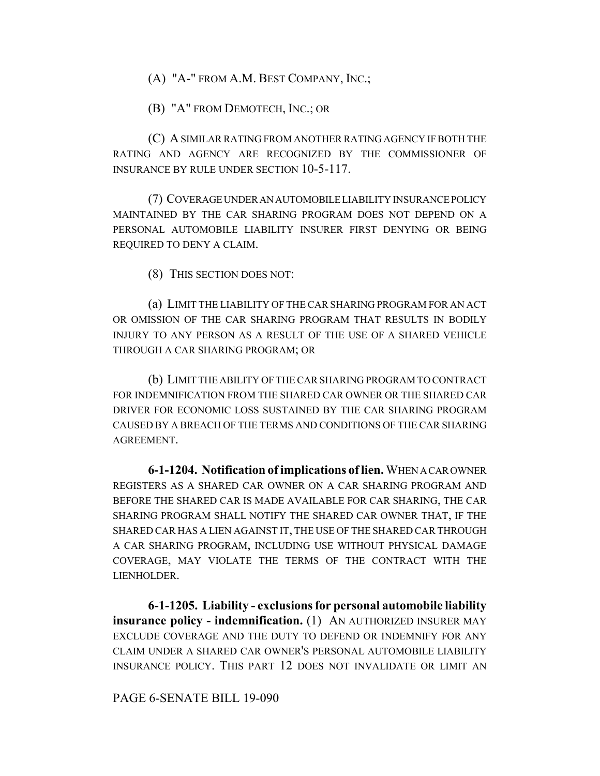(A) "A-" FROM A.M. BEST COMPANY, INC.;

(B) "A" FROM DEMOTECH, INC.; OR

(C) A SIMILAR RATING FROM ANOTHER RATING AGENCY IF BOTH THE RATING AND AGENCY ARE RECOGNIZED BY THE COMMISSIONER OF INSURANCE BY RULE UNDER SECTION 10-5-117.

(7) COVERAGE UNDER AN AUTOMOBILE LIABILITY INSURANCE POLICY MAINTAINED BY THE CAR SHARING PROGRAM DOES NOT DEPEND ON A PERSONAL AUTOMOBILE LIABILITY INSURER FIRST DENYING OR BEING REQUIRED TO DENY A CLAIM.

(8) THIS SECTION DOES NOT:

(a) LIMIT THE LIABILITY OF THE CAR SHARING PROGRAM FOR AN ACT OR OMISSION OF THE CAR SHARING PROGRAM THAT RESULTS IN BODILY INJURY TO ANY PERSON AS A RESULT OF THE USE OF A SHARED VEHICLE THROUGH A CAR SHARING PROGRAM; OR

(b) LIMIT THE ABILITY OF THE CAR SHARING PROGRAM TO CONTRACT FOR INDEMNIFICATION FROM THE SHARED CAR OWNER OR THE SHARED CAR DRIVER FOR ECONOMIC LOSS SUSTAINED BY THE CAR SHARING PROGRAM CAUSED BY A BREACH OF THE TERMS AND CONDITIONS OF THE CAR SHARING AGREEMENT.

**6-1-1204. Notification of implications of lien.** WHEN A CAR OWNER REGISTERS AS A SHARED CAR OWNER ON A CAR SHARING PROGRAM AND BEFORE THE SHARED CAR IS MADE AVAILABLE FOR CAR SHARING, THE CAR SHARING PROGRAM SHALL NOTIFY THE SHARED CAR OWNER THAT, IF THE SHARED CAR HAS A LIEN AGAINST IT, THE USE OF THE SHARED CAR THROUGH A CAR SHARING PROGRAM, INCLUDING USE WITHOUT PHYSICAL DAMAGE COVERAGE, MAY VIOLATE THE TERMS OF THE CONTRACT WITH THE LIENHOLDER.

**6-1-1205. Liability - exclusions for personal automobile liability insurance policy - indemnification.** (1) AN AUTHORIZED INSURER MAY EXCLUDE COVERAGE AND THE DUTY TO DEFEND OR INDEMNIFY FOR ANY CLAIM UNDER A SHARED CAR OWNER'S PERSONAL AUTOMOBILE LIABILITY INSURANCE POLICY. THIS PART 12 DOES NOT INVALIDATE OR LIMIT AN

PAGE 6-SENATE BILL 19-090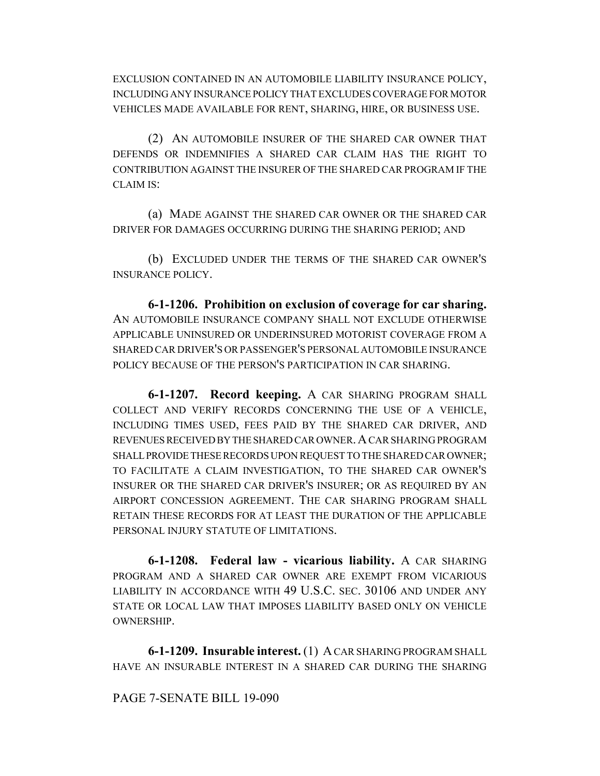EXCLUSION CONTAINED IN AN AUTOMOBILE LIABILITY INSURANCE POLICY, INCLUDING ANY INSURANCE POLICY THAT EXCLUDES COVERAGE FOR MOTOR VEHICLES MADE AVAILABLE FOR RENT, SHARING, HIRE, OR BUSINESS USE.

(2) AN AUTOMOBILE INSURER OF THE SHARED CAR OWNER THAT DEFENDS OR INDEMNIFIES A SHARED CAR CLAIM HAS THE RIGHT TO CONTRIBUTION AGAINST THE INSURER OF THE SHARED CAR PROGRAM IF THE CLAIM IS:

(a) MADE AGAINST THE SHARED CAR OWNER OR THE SHARED CAR DRIVER FOR DAMAGES OCCURRING DURING THE SHARING PERIOD; AND

(b) EXCLUDED UNDER THE TERMS OF THE SHARED CAR OWNER'S INSURANCE POLICY.

**6-1-1206. Prohibition on exclusion of coverage for car sharing.** AN AUTOMOBILE INSURANCE COMPANY SHALL NOT EXCLUDE OTHERWISE APPLICABLE UNINSURED OR UNDERINSURED MOTORIST COVERAGE FROM A SHARED CAR DRIVER'S OR PASSENGER'S PERSONAL AUTOMOBILE INSURANCE POLICY BECAUSE OF THE PERSON'S PARTICIPATION IN CAR SHARING.

**6-1-1207. Record keeping.** A CAR SHARING PROGRAM SHALL COLLECT AND VERIFY RECORDS CONCERNING THE USE OF A VEHICLE, INCLUDING TIMES USED, FEES PAID BY THE SHARED CAR DRIVER, AND REVENUES RECEIVED BY THE SHARED CAR OWNER. A CAR SHARING PROGRAM SHALL PROVIDE THESE RECORDS UPON REQUEST TO THE SHARED CAR OWNER; TO FACILITATE A CLAIM INVESTIGATION, TO THE SHARED CAR OWNER'S INSURER OR THE SHARED CAR DRIVER'S INSURER; OR AS REQUIRED BY AN AIRPORT CONCESSION AGREEMENT. THE CAR SHARING PROGRAM SHALL RETAIN THESE RECORDS FOR AT LEAST THE DURATION OF THE APPLICABLE PERSONAL INJURY STATUTE OF LIMITATIONS.

**6-1-1208. Federal law - vicarious liability.** A CAR SHARING PROGRAM AND A SHARED CAR OWNER ARE EXEMPT FROM VICARIOUS LIABILITY IN ACCORDANCE WITH 49 U.S.C. SEC. 30106 AND UNDER ANY STATE OR LOCAL LAW THAT IMPOSES LIABILITY BASED ONLY ON VEHICLE OWNERSHIP.

**6-1-1209. Insurable interest.** (1) A CAR SHARING PROGRAM SHALL HAVE AN INSURABLE INTEREST IN A SHARED CAR DURING THE SHARING

## PAGE 7-SENATE BILL 19-090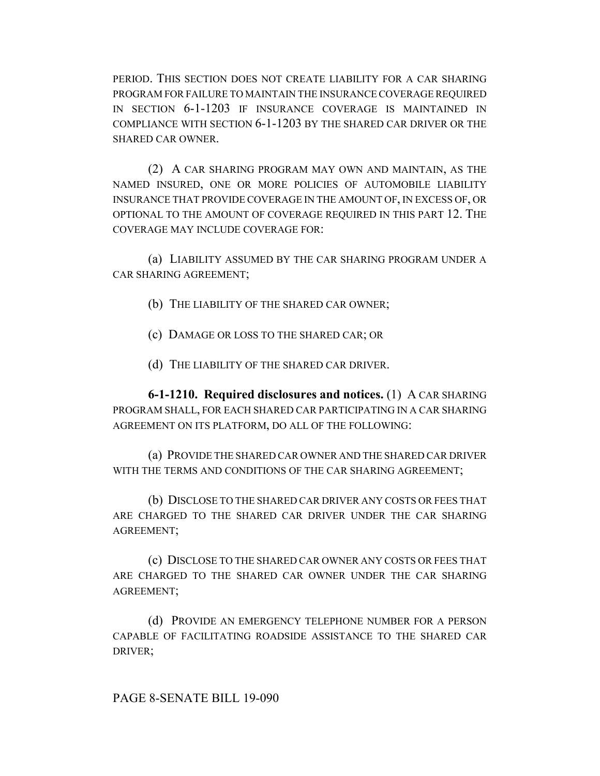PERIOD. THIS SECTION DOES NOT CREATE LIABILITY FOR A CAR SHARING PROGRAM FOR FAILURE TO MAINTAIN THE INSURANCE COVERAGE REQUIRED IN SECTION 6-1-1203 IF INSURANCE COVERAGE IS MAINTAINED IN COMPLIANCE WITH SECTION 6-1-1203 BY THE SHARED CAR DRIVER OR THE SHARED CAR OWNER.

(2) A CAR SHARING PROGRAM MAY OWN AND MAINTAIN, AS THE NAMED INSURED, ONE OR MORE POLICIES OF AUTOMOBILE LIABILITY INSURANCE THAT PROVIDE COVERAGE IN THE AMOUNT OF, IN EXCESS OF, OR OPTIONAL TO THE AMOUNT OF COVERAGE REQUIRED IN THIS PART 12. THE COVERAGE MAY INCLUDE COVERAGE FOR:

(a) LIABILITY ASSUMED BY THE CAR SHARING PROGRAM UNDER A CAR SHARING AGREEMENT;

(b) THE LIABILITY OF THE SHARED CAR OWNER;

(c) DAMAGE OR LOSS TO THE SHARED CAR; OR

(d) THE LIABILITY OF THE SHARED CAR DRIVER.

**6-1-1210. Required disclosures and notices.** (1) A CAR SHARING PROGRAM SHALL, FOR EACH SHARED CAR PARTICIPATING IN A CAR SHARING AGREEMENT ON ITS PLATFORM, DO ALL OF THE FOLLOWING:

(a) PROVIDE THE SHARED CAR OWNER AND THE SHARED CAR DRIVER WITH THE TERMS AND CONDITIONS OF THE CAR SHARING AGREEMENT;

(b) DISCLOSE TO THE SHARED CAR DRIVER ANY COSTS OR FEES THAT ARE CHARGED TO THE SHARED CAR DRIVER UNDER THE CAR SHARING AGREEMENT;

(c) DISCLOSE TO THE SHARED CAR OWNER ANY COSTS OR FEES THAT ARE CHARGED TO THE SHARED CAR OWNER UNDER THE CAR SHARING AGREEMENT;

(d) PROVIDE AN EMERGENCY TELEPHONE NUMBER FOR A PERSON CAPABLE OF FACILITATING ROADSIDE ASSISTANCE TO THE SHARED CAR DRIVER;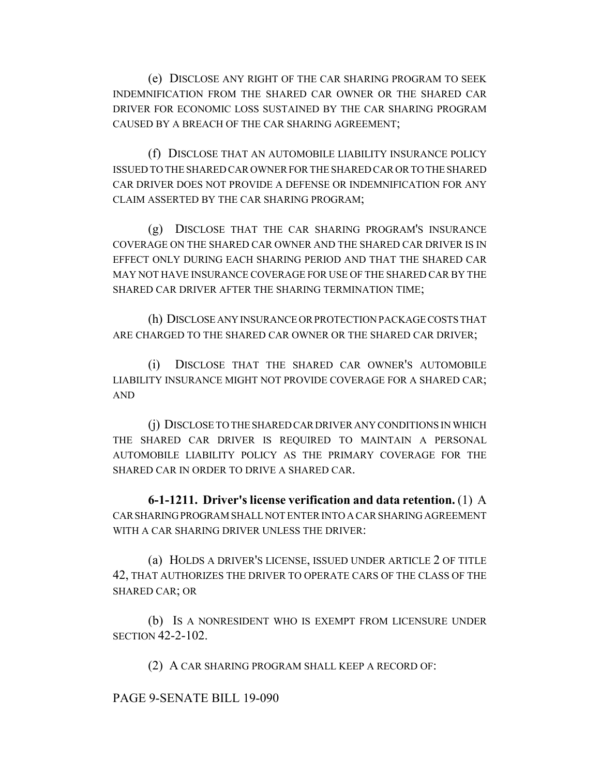(e) DISCLOSE ANY RIGHT OF THE CAR SHARING PROGRAM TO SEEK INDEMNIFICATION FROM THE SHARED CAR OWNER OR THE SHARED CAR DRIVER FOR ECONOMIC LOSS SUSTAINED BY THE CAR SHARING PROGRAM CAUSED BY A BREACH OF THE CAR SHARING AGREEMENT;

(f) DISCLOSE THAT AN AUTOMOBILE LIABILITY INSURANCE POLICY ISSUED TO THE SHARED CAR OWNER FOR THE SHARED CAR OR TO THE SHARED CAR DRIVER DOES NOT PROVIDE A DEFENSE OR INDEMNIFICATION FOR ANY CLAIM ASSERTED BY THE CAR SHARING PROGRAM;

(g) DISCLOSE THAT THE CAR SHARING PROGRAM'S INSURANCE COVERAGE ON THE SHARED CAR OWNER AND THE SHARED CAR DRIVER IS IN EFFECT ONLY DURING EACH SHARING PERIOD AND THAT THE SHARED CAR MAY NOT HAVE INSURANCE COVERAGE FOR USE OF THE SHARED CAR BY THE SHARED CAR DRIVER AFTER THE SHARING TERMINATION TIME;

(h) DISCLOSE ANY INSURANCE OR PROTECTION PACKAGE COSTS THAT ARE CHARGED TO THE SHARED CAR OWNER OR THE SHARED CAR DRIVER;

(i) DISCLOSE THAT THE SHARED CAR OWNER'S AUTOMOBILE LIABILITY INSURANCE MIGHT NOT PROVIDE COVERAGE FOR A SHARED CAR; AND

(j) DISCLOSE TO THE SHARED CAR DRIVER ANY CONDITIONS IN WHICH THE SHARED CAR DRIVER IS REQUIRED TO MAINTAIN A PERSONAL AUTOMOBILE LIABILITY POLICY AS THE PRIMARY COVERAGE FOR THE SHARED CAR IN ORDER TO DRIVE A SHARED CAR.

**6-1-1211. Driver's license verification and data retention.** (1) A CAR SHARING PROGRAM SHALL NOT ENTER INTO A CAR SHARING AGREEMENT WITH A CAR SHARING DRIVER UNLESS THE DRIVER:

(a) HOLDS A DRIVER'S LICENSE, ISSUED UNDER ARTICLE 2 OF TITLE 42, THAT AUTHORIZES THE DRIVER TO OPERATE CARS OF THE CLASS OF THE SHARED CAR; OR

(b) IS A NONRESIDENT WHO IS EXEMPT FROM LICENSURE UNDER SECTION 42-2-102.

(2) A CAR SHARING PROGRAM SHALL KEEP A RECORD OF:

PAGE 9-SENATE BILL 19-090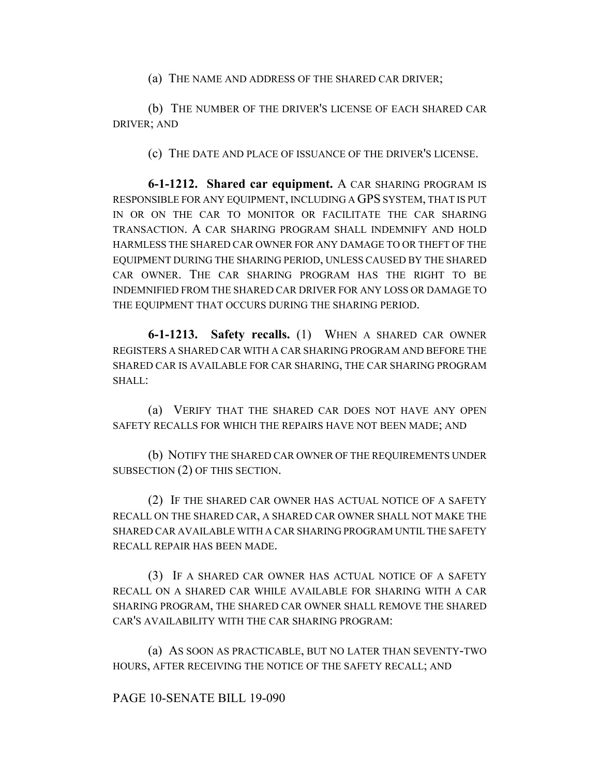(a) THE NAME AND ADDRESS OF THE SHARED CAR DRIVER;

(b) THE NUMBER OF THE DRIVER'S LICENSE OF EACH SHARED CAR DRIVER; AND

(c) THE DATE AND PLACE OF ISSUANCE OF THE DRIVER'S LICENSE.

**6-1-1212. Shared car equipment.** A CAR SHARING PROGRAM IS RESPONSIBLE FOR ANY EQUIPMENT, INCLUDING A GPS SYSTEM, THAT IS PUT IN OR ON THE CAR TO MONITOR OR FACILITATE THE CAR SHARING TRANSACTION. A CAR SHARING PROGRAM SHALL INDEMNIFY AND HOLD HARMLESS THE SHARED CAR OWNER FOR ANY DAMAGE TO OR THEFT OF THE EQUIPMENT DURING THE SHARING PERIOD, UNLESS CAUSED BY THE SHARED CAR OWNER. THE CAR SHARING PROGRAM HAS THE RIGHT TO BE INDEMNIFIED FROM THE SHARED CAR DRIVER FOR ANY LOSS OR DAMAGE TO THE EQUIPMENT THAT OCCURS DURING THE SHARING PERIOD.

**6-1-1213. Safety recalls.** (1) WHEN A SHARED CAR OWNER REGISTERS A SHARED CAR WITH A CAR SHARING PROGRAM AND BEFORE THE SHARED CAR IS AVAILABLE FOR CAR SHARING, THE CAR SHARING PROGRAM SHALL:

(a) VERIFY THAT THE SHARED CAR DOES NOT HAVE ANY OPEN SAFETY RECALLS FOR WHICH THE REPAIRS HAVE NOT BEEN MADE; AND

(b) NOTIFY THE SHARED CAR OWNER OF THE REQUIREMENTS UNDER SUBSECTION (2) OF THIS SECTION.

(2) IF THE SHARED CAR OWNER HAS ACTUAL NOTICE OF A SAFETY RECALL ON THE SHARED CAR, A SHARED CAR OWNER SHALL NOT MAKE THE SHARED CAR AVAILABLE WITH A CAR SHARING PROGRAM UNTIL THE SAFETY RECALL REPAIR HAS BEEN MADE.

(3) IF A SHARED CAR OWNER HAS ACTUAL NOTICE OF A SAFETY RECALL ON A SHARED CAR WHILE AVAILABLE FOR SHARING WITH A CAR SHARING PROGRAM, THE SHARED CAR OWNER SHALL REMOVE THE SHARED CAR'S AVAILABILITY WITH THE CAR SHARING PROGRAM:

(a) AS SOON AS PRACTICABLE, BUT NO LATER THAN SEVENTY-TWO HOURS, AFTER RECEIVING THE NOTICE OF THE SAFETY RECALL; AND

## PAGE 10-SENATE BILL 19-090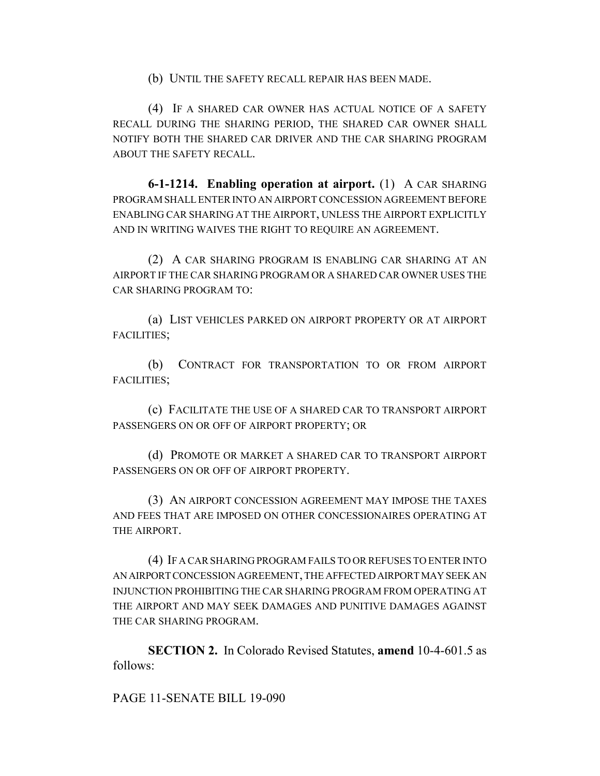(b) UNTIL THE SAFETY RECALL REPAIR HAS BEEN MADE.

(4) IF A SHARED CAR OWNER HAS ACTUAL NOTICE OF A SAFETY RECALL DURING THE SHARING PERIOD, THE SHARED CAR OWNER SHALL NOTIFY BOTH THE SHARED CAR DRIVER AND THE CAR SHARING PROGRAM ABOUT THE SAFETY RECALL.

**6-1-1214. Enabling operation at airport.** (1) A CAR SHARING PROGRAM SHALL ENTER INTO AN AIRPORT CONCESSION AGREEMENT BEFORE ENABLING CAR SHARING AT THE AIRPORT, UNLESS THE AIRPORT EXPLICITLY AND IN WRITING WAIVES THE RIGHT TO REQUIRE AN AGREEMENT.

(2) A CAR SHARING PROGRAM IS ENABLING CAR SHARING AT AN AIRPORT IF THE CAR SHARING PROGRAM OR A SHARED CAR OWNER USES THE CAR SHARING PROGRAM TO:

(a) LIST VEHICLES PARKED ON AIRPORT PROPERTY OR AT AIRPORT FACILITIES;

(b) CONTRACT FOR TRANSPORTATION TO OR FROM AIRPORT FACILITIES;

(c) FACILITATE THE USE OF A SHARED CAR TO TRANSPORT AIRPORT PASSENGERS ON OR OFF OF AIRPORT PROPERTY; OR

(d) PROMOTE OR MARKET A SHARED CAR TO TRANSPORT AIRPORT PASSENGERS ON OR OFF OF AIRPORT PROPERTY.

(3) AN AIRPORT CONCESSION AGREEMENT MAY IMPOSE THE TAXES AND FEES THAT ARE IMPOSED ON OTHER CONCESSIONAIRES OPERATING AT THE AIRPORT.

(4) IF A CAR SHARING PROGRAM FAILS TO OR REFUSES TO ENTER INTO AN AIRPORT CONCESSION AGREEMENT, THE AFFECTED AIRPORT MAY SEEK AN INJUNCTION PROHIBITING THE CAR SHARING PROGRAM FROM OPERATING AT THE AIRPORT AND MAY SEEK DAMAGES AND PUNITIVE DAMAGES AGAINST THE CAR SHARING PROGRAM.

**SECTION 2.** In Colorado Revised Statutes, **amend** 10-4-601.5 as follows:

PAGE 11-SENATE BILL 19-090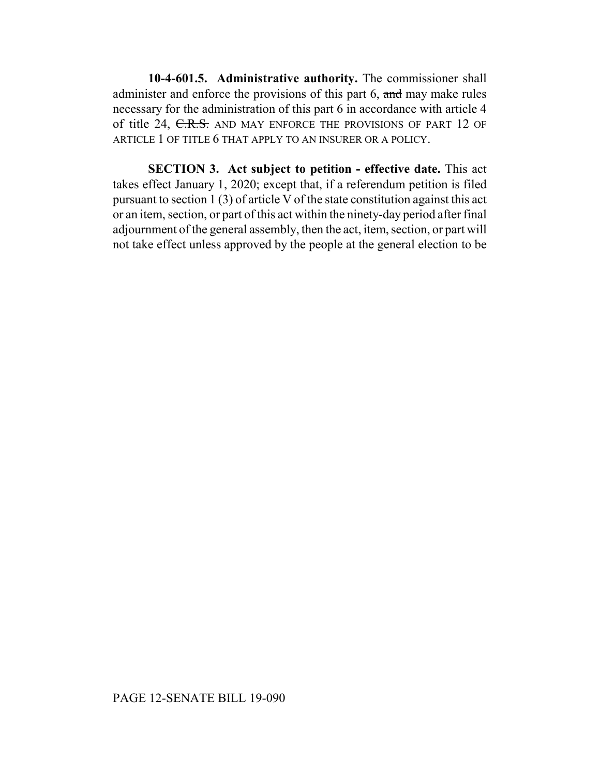**10-4-601.5. Administrative authority.** The commissioner shall administer and enforce the provisions of this part 6, and may make rules necessary for the administration of this part 6 in accordance with article 4 of title 24, C.R.S. AND MAY ENFORCE THE PROVISIONS OF PART 12 OF ARTICLE 1 OF TITLE 6 THAT APPLY TO AN INSURER OR A POLICY.

**SECTION 3. Act subject to petition - effective date.** This act takes effect January 1, 2020; except that, if a referendum petition is filed pursuant to section 1 (3) of article V of the state constitution against this act or an item, section, or part of this act within the ninety-day period after final adjournment of the general assembly, then the act, item, section, or part will not take effect unless approved by the people at the general election to be